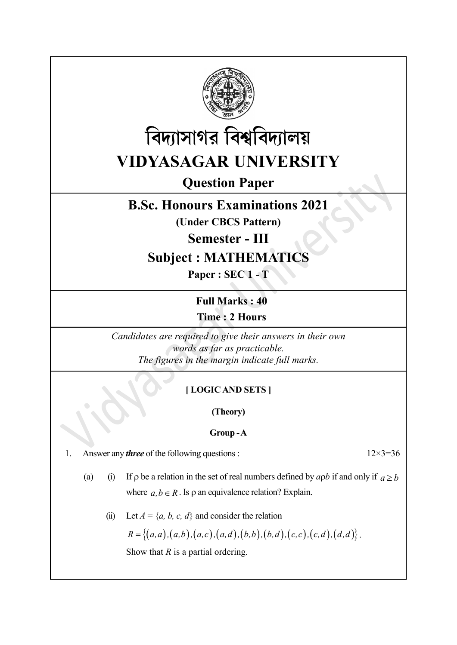



Question Paper

## B.Sc. Honours Examinations 2021

(Under CBCS Pattern)

Semester - III

# Subject : MATHEMATICS

Paper : SEC 1 - T

Full Marks : 40 Time : 2 Hours

Candidates are required to give their answers in their own words as far as practicable. The figures in the margin indicate full marks.

### [ LOGIC AND SETS ]

(Theory)

### Group - A

1. Answer any *three* of the following questions :  $12 \times 3 = 36$ 

- (a) (i) If  $\rho$  be a relation in the set of real numbers defined by apb if and only if  $a \ge b$ where  $a, b \in R$ . Is  $\rho$  an equivalence relation? Explain.
	- (ii) Let  $A = \{a, b, c, d\}$  and consider the relation

 $R = \{(a,a), (a,b), (a,c), (a,d), (b,b), (b,d), (c,c), (c,d), (d,d) \}.$ 

Show that  $R$  is a partial ordering.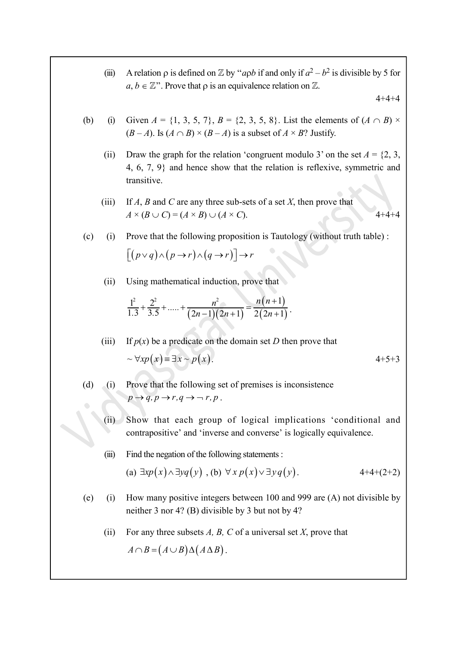(iii) A relation  $\rho$  is defined on  $\mathbb Z$  by "apb if and only if  $a^2 - b^2$  is divisible by 5 for  $a, b \in \mathbb{Z}^n$ . Prove that  $\rho$  is an equivalence relation on  $\mathbb{Z}$ .

 $4 + 4 + 4$ 

- (b) (i) Given  $A = \{1, 3, 5, 7\}, B = \{2, 3, 5, 8\}.$  List the elements of  $(A \cap B) \times$  $(B-A)$ . Is  $(A \cap B) \times (B-A)$  is a subset of  $A \times B$ ? Justify.
- (ii) Draw the graph for the relation 'congruent modulo 3' on the set  $A = \{2, 3, \ldots\}$ 4, 6, 7, 9} and hence show that the relation is reflexive, symmetric and transitive. , 5, 7},  $B = \{2, 3, 5, 8\}$ . List the elements of  $(A \cap B) \times B$ <br>  $B \times (B - A)$  is a subset of  $A \times B$ ? Justify.<br>
for the relation 'congruent modulo 3' on the set  $A = \{2, 3, 8\}$ <br>
hence show that the relation is reflexive, symmet 5, 8}. List the elements of  $(A \cap B) \times$ <br>set of  $A \times B$ ? Justify.<br>gruent modulo 3' on the set  $A = \{2, 3, \}$ <br>e relation is reflexive, symmetric and<br>of a set X, then prove that<br> $4+4+4$ <br>is Tautology (without truth table) :<br>e tha
	- (iii) If A, B and C are any three sub-sets of a set X, then prove that  $A \times (B \cup C) = (A \times B) \cup (A \times C).$  4+4+4
- (c) (i) Prove that the following proposition is Tautology (without truth table) :  $[(p \vee q) \wedge (p \rightarrow r) \wedge (q \rightarrow r)] \rightarrow r$ 
	- (ii) Using mathematical induction, prove that

$$
\frac{1^2}{1.3} + \frac{2^2}{3.5} + \dots + \frac{n^2}{(2n-1)(2n+1)} = \frac{n(n+1)}{2(2n+1)}.
$$

(iii) If  $p(x)$  be a predicate on the domain set D then prove that  $\sim \forall x p(x) = \exists x \sim p(x).$  4+5+3

- (d) (i) Prove that the following set of premises is inconsistence  $p \rightarrow q, p \rightarrow r, q \rightarrow \neg r, p$ .
	- (ii) Show that each group of logical implications 'conditional and contrapositive' and 'inverse and converse' is logically equivalence.
	- (iii) Find the negation of the following statements :

(a) 
$$
\exists x p(x) \land \exists y q(y)
$$
, (b)  $\forall x p(x) \lor \exists y q(y)$ . 4+4+(2+2)

- (e) (i) How many positive integers between 100 and 999 are (A) not divisible by neither 3 nor 4? (B) divisible by 3 but not by 4?
	- (ii) For any three subsets A, B, C of a universal set X, prove that  $A \cap B = (A \cup B) \Delta (A \Delta B).$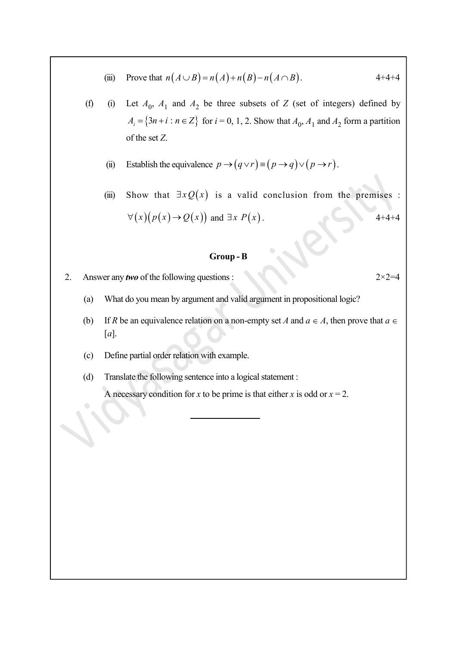- (iii) Prove that  $n(A \cup B) = n(A) + n(B) n(A \cap B)$ . 4+4+4
- (f) (i) Let  $A_0$ ,  $A_1$  and  $A_2$  be three subsets of Z (set of integers) defined by  $A_i = \{3n + i : n \in \mathbb{Z}\}\$  for  $i = 0, 1, 2$ . Show that  $A_0, A_1$  and  $A_2$  form a partition of the set Z.
	- (ii) Establish the equivalence  $p \to (q \lor r) = (p \to q) \lor (p \to r)$ .
	- (iii) Show that  $\exists x Q(x)$  is a valid conclusion from the premises :  $\forall (x) (p(x) \rightarrow Q(x))$  and  $\exists x P(x)$ . 4+4+4

#### Group - B

- 2. Answer any *two* of the following questions :  $2 \times 2 = 4$ 
	- (a) What do you mean by argument and valid argument in propositional logic?
	- (b) If R be an equivalence relation on a non-empty set A and  $a \in A$ , then prove that  $a \in A$  $[a]$ .
	- (c) Define partial order relation with example.
	- (d) Translate the following sentence into a logical statement :

A necessary condition for x to be prime is that either x is odd or  $x = 2$ .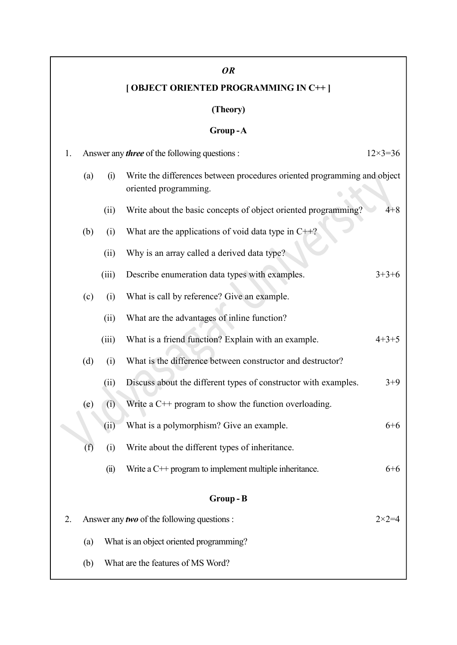### OR

# [ OBJECT ORIENTED PROGRAMMING IN C++ ]

## (Theory)

### Group-A

| Answer any <i>three</i> of the following questions :<br>1. |                                                    |       |                                                                          | $12\times3=36$   |
|------------------------------------------------------------|----------------------------------------------------|-------|--------------------------------------------------------------------------|------------------|
|                                                            | (a)<br>(i)<br>oriented programming.                |       | Write the differences between procedures oriented programming and object |                  |
|                                                            |                                                    | (ii)  | Write about the basic concepts of object oriented programming?           | $4 + 8$          |
|                                                            | (b)                                                | (i)   | What are the applications of void data type in $C++?$                    |                  |
|                                                            |                                                    | (ii)  | Why is an array called a derived data type?                              |                  |
|                                                            |                                                    | (iii) | Describe enumeration data types with examples.                           | $3+3+6$          |
|                                                            | (c)                                                | (i)   | What is call by reference? Give an example.                              |                  |
|                                                            |                                                    | (ii)  | What are the advantages of inline function?                              |                  |
|                                                            |                                                    | (iii) | What is a friend function? Explain with an example.                      | $4+3+5$          |
|                                                            | (d)                                                | (i)   | What is the difference between constructor and destructor?               |                  |
|                                                            |                                                    | (ii)  | Discuss about the different types of constructor with examples.          | $3+9$            |
|                                                            | (e)                                                | (i)   | Write a $C_{++}$ program to show the function overloading.               |                  |
|                                                            |                                                    | (ii)  | What is a polymorphism? Give an example.                                 | $6 + 6$          |
|                                                            | (f)                                                | (i)   | Write about the different types of inheritance.                          |                  |
|                                                            |                                                    | (ii)  | Write a $C \rightarrow$ program to implement multiple inheritance.       | $6 + 6$          |
| Group-B                                                    |                                                    |       |                                                                          |                  |
| 2.                                                         | Answer any <i>two</i> of the following questions : |       |                                                                          | $2 \times 2 = 4$ |
|                                                            | What is an object oriented programming?<br>(a)     |       |                                                                          |                  |
|                                                            | What are the features of MS Word?<br>(b)           |       |                                                                          |                  |